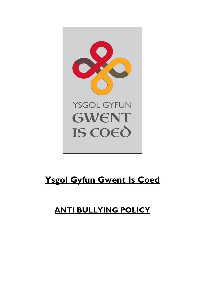

# **Ysgol Gyfun Gwent Is Coed**

## **ANTI BULLYING POLICY**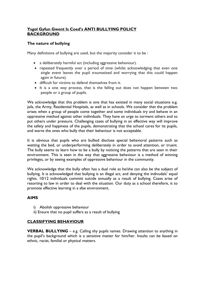## **Ysgol Gyfun Gwent Is Coed's ANTI BULLYING POLICY BACKGROUND**

## **The nature of bullying**

Many definitions of bullying are used, but the majority consider it to be :

- a deliberately harmful act (including aggressive behaviour).
- repeated frequently over a period of time (whilst acknowledging that even one single event leaves the pupil traumatised and worrying that this could happen again in future).
- difficult for victims to defend themselves from it.
- It is a one way process, that is the falling out does not happen between two people or a group of pupils.

We acknowledge that this problem is one that has existed in many social situations e.g. jails, the Army, Residential Hospitals, as well as in schools. We consider that the problem arises when a group of people come together and some individuals try and behave in an oppressive method against other individuals. They have an urge to torment others and to put others under pressure. Challenging cases of bullying in an effective way will improve the safety and happiness of the pupils, demonstrating that the school cares for its pupils, and warns the ones who bully that their behaviour is not acceptable.

It is obvious that pupils who are bullied disclose special behavioral patterns such as wetting the bed, or underperforming deliberately in order to avoid attention, or truant. The bully seems to learn how to be a bully by noticing the patterns that are seen in their environment. This is seen in the way that aggressive behaviour is a method of winning privileges, or by seeing examples of oppressive behaviour in the community.

We acknowledge that the bully often has a dual role as he/she can also be the subject of bullying. It is acknowledged that bullying is an illegal act, and denying the indivudals' equal rights. 10/12 individuals committ suicide annually as a result of bullying. Cases arise of resorting to law in order to deal with the situation. Our duty as a school therefore, is to promote effective learning in a sfae environment.

## **AIMS**

- i) Abolish oppressive behaviour
- ii) Ensure that no pupil suffers as a result of bullying

## **CLASSIFYING BEHAVIOUR**

**VERBAL BULLYING** – e.g. Calling shy pupils names. Drawing attention to anything in the pupil's background which is a sensitive matter for him/her. Insults can be based on ethnic, racist, familial or physical matters.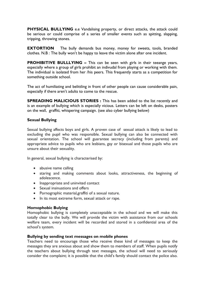**PHYSICAL BULLYING** e.e Vandalising property, or direct attacks, the attack could be serious or could comprise of a series of smaller events such as spitting, slapping, tripping, throwing stones.

**EXTORTION** The bully demands bus money, money for sweets, tools, branded clothes. N.B : The bully won't be happy to leave the victim alone after one incident.

**PROHIBITIVE BULLLYING –** This can be seen with girls in their teeange years, especially where a group of girls prohibit an indivudal from playing or working with them. The individual is isolated from her /his peers. This frequently starts as a competition for something outside school.

The act of humiliating and belittling in front of other people can cause considerable pain, especially if there aren't adults to come to the rescue.

**SPREADING MALICIOUS STORIES :** This has been added to the list recently and is an example of bullying which is especially vicious. Letters can be left on desks, posters on the wall, graffiti, whispering campaign. (see also cyber bullying below)

## **Sexual Bullying**

Sexual bullying affects boys and girls. A proven case of sexual attack is likely to lead to excluding the pupil who was responsible. Sexual bullying can also be connected with sexual orientation. The school will guarantee secrecy (including from parents) and appropriate advice to pupils who are lesbians, gay or bisexual and those pupils who are unsure about their sexuality.

In general, sexual bullying is characterised by:

- abusive name calling
- staring and making comments about looks, attractiveness, the beginning of adolescence.
- Inappropriate and uninvited contact
- Sexual insinuations and offers
- Pornographic material,graffiti of a sexual nature.
- In its most extreme form, sexual attack or rape.

#### **Homophobic Bulying**

Homophobic bullying is completely unacceptable in the school and we will make this totally clear to the bully. We will provide the victim with assistance from our schools welfare team, every incident will be recorded and stored in a confidential area of the school's system.

#### **Bullying by sending text messages on mobile phones**

Teachers need to encourage those who receive these kind of messages to keep the messages they are anxious about and show them to members of staff. When pupils notify the teachers about bullying through text messages, the school will need to seriously consider the complaint; it is possible that the child's family should contact the police also.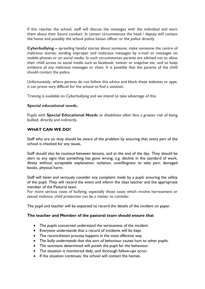If this reaches the school, staff will discuss the messages with the individual and warn them about their future conduct. In certain circumstances the head / deputy will contact the home and possibly the school police liaison officer or the police directly.

**Cyberbullying –** spreading hateful stories about someone, make someone the centre of malicious stories, sending improper and malicious messages by e-mail or messages on mobile phones or on social media. In such circumstances parents are advised not to allow their child access to social media such as facebook, twitter or snapchat etc. and to keep evidence of any malicious messages or chats. It is possible that the parents of the child should contact the police.

Unfortunately, where parents do not follow this advice and block these websites or apps, it can prove very difficult for the school to find a solution.

Training is available on Cyberbullying and we intend to take advantage of this.

## **Special educational needs.**

Pupils with **Special Educational Needs** or disabilities often face a greater risk of being bullied, directly and indirectly.

## **WHAT CAN WE DO?**

Staff who are on duty should be aware of the problem by ensuring that every part of the school is checked for any issues.

Staff should also be cautious between lessons, and at the end of the day. They should be alert to any signs that something has gone wrong, e.g. decline in the standard of work, illness without acceptable explanation, isolation, unwillingness to take part, damaged books, physical harm.

Staff will listen and seriously consider any complaint made by a pupil, ensuring the safety of the pupil. They will record the event and inform the class teacher and the appropriate member of the Pastoral team.

For more serious cases of bullying, especially those cases which involve harrassment or sexual violence, child protection can be a matter to consider.

The pupil and teacher will be expected to record the details of the incident on paper.

#### **The teacher and Member of the pastoral team should ensure that**

- The pupils concerned understand the seriousness of the incident
- Everyone understands that a record of incidents will be kept.
- The reconciliation process happens in the most effective way.
- The bully understands that this sort of behaviour causes hurt to other pupils.
- The sanctions determined will punish the pupil for the behaviour.
- The situation is monitored daily, and thorough follow-ups occur.
- If the situation continues, the school will contact the homes.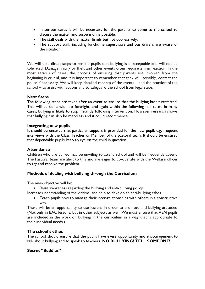- In serious cases it will be necessary for the parents to come to the school to discuss the matter and suspension is possible.
- The staff deals with the matter firmly but not oppressively.
- The support staff, including lunchtime supervisors and bus drivers are aware of the situation.

We will take direct steps to remind pupils that bullying is unacceptable and will not be tolerated. Damage, injury or theft and other events often require a firm reaction. In the most serious of cases, the process of ensuring that parents are involved from the beginning is crucial, and it is important to remember that they will, possibly, contact the police if necessary. We will keep detailed records of the events – and the reaction of the school – to assist with actions and to safeguard the school from legal steps.

#### **Next Steps**

The following steps are taken after an event to ensure that the bullying hasn't restarted. This will be done within a fortnight, and again within the following half term. In many cases, bullying is likely to stop instantly following intervention. However research shows that bullying can also be merciless and it could recommence.

#### **Integrating new pupils**

It should be ensured that particular support is provided for the new pupil, e.g. frequent interviews with the Class Teacher or Member of the pastoral team. It should be ensured that dependable pupils keep an eye on the child in question.

#### **Attendance**

Children who are bullied may be unwiling to attend school and will be frequently absent. The Pastoral team are alert to this and are eager to co-operate with the Welfare officer to try and resolve the problem.

#### **Methods of dealing with bullying through the Curriculum**

The main objective will be:

Raise awareness regarding the bullying and anti-bullying policy.

Increase understanding of the victims, and help to develop an anti-bullying ethos.

 Teach pupils how to manage their inter-relationships with others in a constructive way.

There will be an opportunity to use lessons in order to promote anti-bullying attitudes. (Not only in BAC lessons, but in other subjects as well. We must ensure that AEN pupils are included in the work on bullying in the curriculum in a way that is appropriate to their individual needs.)

#### **The school's ethos**

The school should ensure that the pupils have every opportunity and encouragement to talk about bullying and to speak to teachers. **NO BULLYING! TELL SOMEONE!**

## **Secret "Buddies"**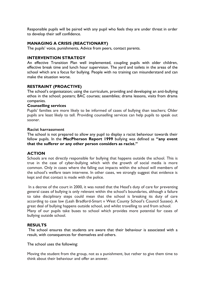Responsible pupils will be paired with any pupil who feels they are under threat in order to develop their self confidence.

## **MANAGING A CRISIS (REACTIONARY)**

The pupils' voice, punishments, Advice from peers, contact parents.

#### **INTERVENTION STRATEGY**

An effective Transition Plan well implemented, coupling pupils with older children, effective break time and lunch hour supervision. The yard and toilets in the areas of the school which are a focus for bullying. People with no training can misunderstand and can make the situation worse.

## **RESTRAINT (PROACTIVE)**

The school's organisataion; using the curriculum, providing and developing an anti-bullying ethos in the school; posters; BAC courses; assemblies; drama lessons, visits from drama companies.

#### **Counselling services**

Pupils' families are more likely to be informed of cases of bullying than teachers; Older pupils are least likely to tell. Providing counselling services can help pupils to speak out sooner.

#### **Racist harrassment**

The school is not prepared to allow any pupil to display a racist behaviour towards their fellow pupils. In the **MacPherson Report 1999** bullying was defined as **"any event that the sufferer or any other person considers as racist."**

#### **ACTION**

Schools are not directly responsible for bullying that happens outside the school. This is true in the case of cyber-bullying which with the growth of social media is more common. Only in cases where the falling out impacts within the school will members of the school's welfare team intervene. In other cases, we strongly suggest that evidence is kept and that contact is made with the police.

In a decree of the court in 2000, it was noted that the Head's duty of care for preventing general cases of bullying is only relevant within the school's boundaries, although a failure to take disciplinary steps could mean that the school is breaking its duty of care according to case law (Leah Bradford-Smart v West County School's Council Sussex). A great deal of bullying happens outside school, and whilst travelling to and from school. Many of our pupils take buses to school which provides more potential for cases of bullying outside school.

#### **RESULTS**

The school ensures that students are aware that their behaviour is associated with a result, with consequences for themselves and others.

The school uses the following:

Moving the student from the group, not as a punishment, but rather to give them time to think about their behaviour and offer an answer.